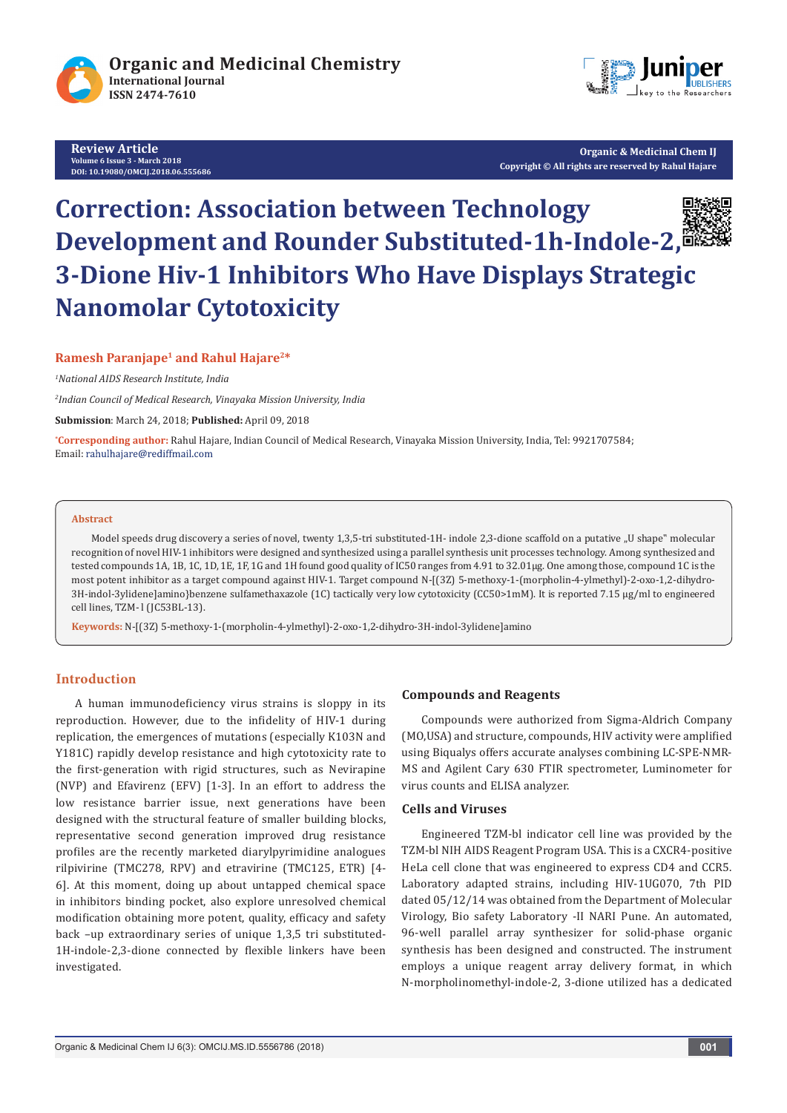

**Review Article Volume 6 Issue 3 - March 2018 DOI: [10.19080/OMCIJ.2018.06.555686](http://dx.doi.org/10.19080/OMCIJ.2018.06.555686)**



**Organic & Medicinal Chem IJ Copyright © All rights are reserved by Rahul Hajare** 

# **Correction: Association between Technology Development and Rounder Substituted-1h-Indole-2, 3-Dione Hiv-1 Inhibitors Who Have Displays Strategic Nanomolar Cytotoxicity**



## **Ramesh Paranjape1 and Rahul Hajare2\***

*1 National AIDS Research Institute, India*

*2 Indian Council of Medical Research, Vinayaka Mission University, India*

**Submission**: March 24, 2018; **Published:** April 09, 2018

**\* Corresponding author:** Rahul Hajare, Indian Council of Medical Research, Vinayaka Mission University, India, Tel: 9921707584; Email: rahulhajare@rediffmail.com

#### **Abstract**

Model speeds drug discovery a series of novel, twenty 1,3,5-tri substituted-1H- indole 2,3-dione scaffold on a putative "U shape" molecular recognition of novel HIV-1 inhibitors were designed and synthesized using a parallel synthesis unit processes technology. Among synthesized and tested compounds 1A, 1B, 1C, 1D, 1E, 1F, 1G and 1H found good quality of IC50 ranges from 4.91 to 32.01μg. One among those, compound 1C is the most potent inhibitor as a target compound against HIV-1. Target compound N-[(3Z) 5-methoxy-1-(morpholin-4-ylmethyl)-2-oxo-1,2-dihydro-3H-indol-3ylidene]amino}benzene sulfamethaxazole (1C) tactically very low cytotoxicity (CC50>1mM). It is reported 7.15 μg/ml to engineered cell lines, TZM- l (JC53BL-13).

**Keywords:** N-[(3Z) 5-methoxy-1-(morpholin-4-ylmethyl)-2-oxo-1,2-dihydro-3H-indol-3ylidene]amino

# **Introduction**

A human immunodeficiency virus strains is sloppy in its reproduction. However, due to the infidelity of HIV-1 during replication, the emergences of mutations (especially K103N and Y181C) rapidly develop resistance and high cytotoxicity rate to the first-generation with rigid structures, such as Nevirapine (NVP) and Efavirenz (EFV) [1-3]. In an effort to address the low resistance barrier issue, next generations have been designed with the structural feature of smaller building blocks, representative second generation improved drug resistance profiles are the recently marketed diarylpyrimidine analogues rilpivirine (TMC278, RPV) and etravirine (TMC125, ETR) [4- 6]. At this moment, doing up about untapped chemical space in inhibitors binding pocket, also explore unresolved chemical modification obtaining more potent, quality, efficacy and safety back –up extraordinary series of unique 1,3,5 tri substituted-1H-indole-2,3-dione connected by flexible linkers have been investigated.

### **Compounds and Reagents**

Compounds were authorized from Sigma-Aldrich Company (MO,USA) and structure, compounds, HIV activity were amplified using Biqualys offers accurate analyses combining LC-SPE-NMR-MS and Agilent Cary 630 FTIR spectrometer, Luminometer for virus counts and ELISA analyzer.

## **Cells and Viruses**

Engineered TZM-bl indicator cell line was provided by the TZM-bl NIH AIDS Reagent Program USA. This is a CXCR4-positive HeLa cell clone that was engineered to express CD4 and CCR5. Laboratory adapted strains, including HIV-1UG070, 7th PID dated 05/12/14 was obtained from the Department of Molecular Virology, Bio safety Laboratory -II NARI Pune. An automated, 96-well parallel array synthesizer for solid-phase organic synthesis has been designed and constructed. The instrument employs a unique reagent array delivery format, in which N-morpholinomethyl-indole-2, 3-dione utilized has a dedicated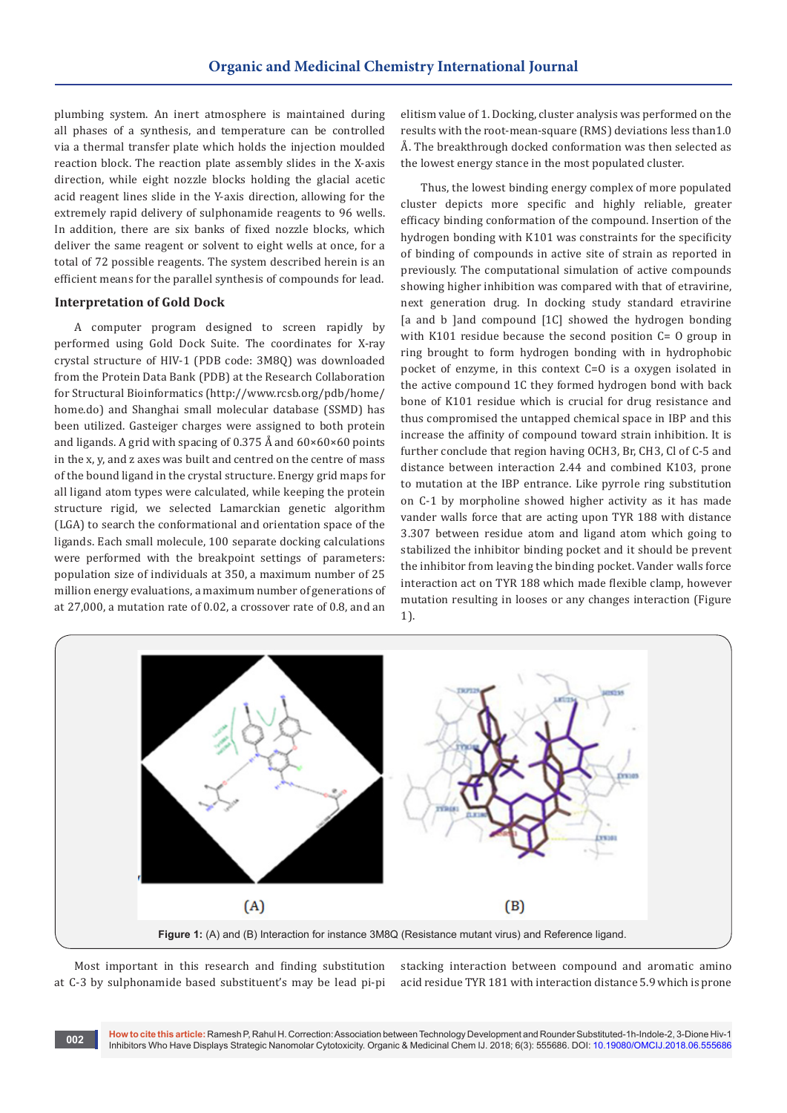plumbing system. An inert atmosphere is maintained during all phases of a synthesis, and temperature can be controlled via a thermal transfer plate which holds the injection moulded reaction block. The reaction plate assembly slides in the X-axis direction, while eight nozzle blocks holding the glacial acetic acid reagent lines slide in the Y-axis direction, allowing for the extremely rapid delivery of sulphonamide reagents to 96 wells. In addition, there are six banks of fixed nozzle blocks, which deliver the same reagent or solvent to eight wells at once, for a total of 72 possible reagents. The system described herein is an efficient means for the parallel synthesis of compounds for lead.

#### **Interpretation of Gold Dock**

A computer program designed to screen rapidly by performed using Gold Dock Suite. The coordinates for X-ray crystal structure of HIV-1 (PDB code: 3M8Q) was downloaded from the Protein Data Bank (PDB) at the Research Collaboration for Structural Bioinformatics (http://www.rcsb.org/pdb/home/ home.do) and Shanghai small molecular database (SSMD) has been utilized. Gasteiger charges were assigned to both protein and ligands. A grid with spacing of 0.375 Å and  $60 \times 60 \times 60$  points in the x, y, and z axes was built and centred on the centre of mass of the bound ligand in the crystal structure. Energy grid maps for all ligand atom types were calculated, while keeping the protein structure rigid, we selected Lamarckian genetic algorithm (LGA) to search the conformational and orientation space of the ligands. Each small molecule, 100 separate docking calculations were performed with the breakpoint settings of parameters: population size of individuals at 350, a maximum number of 25 million energy evaluations, a maximum number of generations of at 27,000, a mutation rate of 0.02, a crossover rate of 0.8, and an

elitism value of 1. Docking, cluster analysis was performed on the results with the root-mean-square (RMS) deviations less than1.0 Å. The breakthrough docked conformation was then selected as the lowest energy stance in the most populated cluster.

Thus, the lowest binding energy complex of more populated cluster depicts more specific and highly reliable, greater efficacy binding conformation of the compound. Insertion of the hydrogen bonding with K101 was constraints for the specificity of binding of compounds in active site of strain as reported in previously. The computational simulation of active compounds showing higher inhibition was compared with that of etravirine, next generation drug. In docking study standard etravirine [a and b ]and compound [1C] showed the hydrogen bonding with K101 residue because the second position C= O group in ring brought to form hydrogen bonding with in hydrophobic pocket of enzyme, in this context C=O is a oxygen isolated in the active compound 1C they formed hydrogen bond with back bone of K101 residue which is crucial for drug resistance and thus compromised the untapped chemical space in IBP and this increase the affinity of compound toward strain inhibition. It is further conclude that region having OCH3, Br, CH3, Cl of C-5 and distance between interaction 2.44 and combined K103, prone to mutation at the IBP entrance. Like pyrrole ring substitution on C-1 by morpholine showed higher activity as it has made vander walls force that are acting upon TYR 188 with distance 3.307 between residue atom and ligand atom which going to stabilized the inhibitor binding pocket and it should be prevent the inhibitor from leaving the binding pocket. Vander walls force interaction act on TYR 188 which made flexible clamp, however mutation resulting in looses or any changes interaction (Figure 1).



Most important in this research and finding substitution at C-3 by sulphonamide based substituent's may be lead pi-pi stacking interaction between compound and aromatic amino acid residue TYR 181 with interaction distance 5.9 which is prone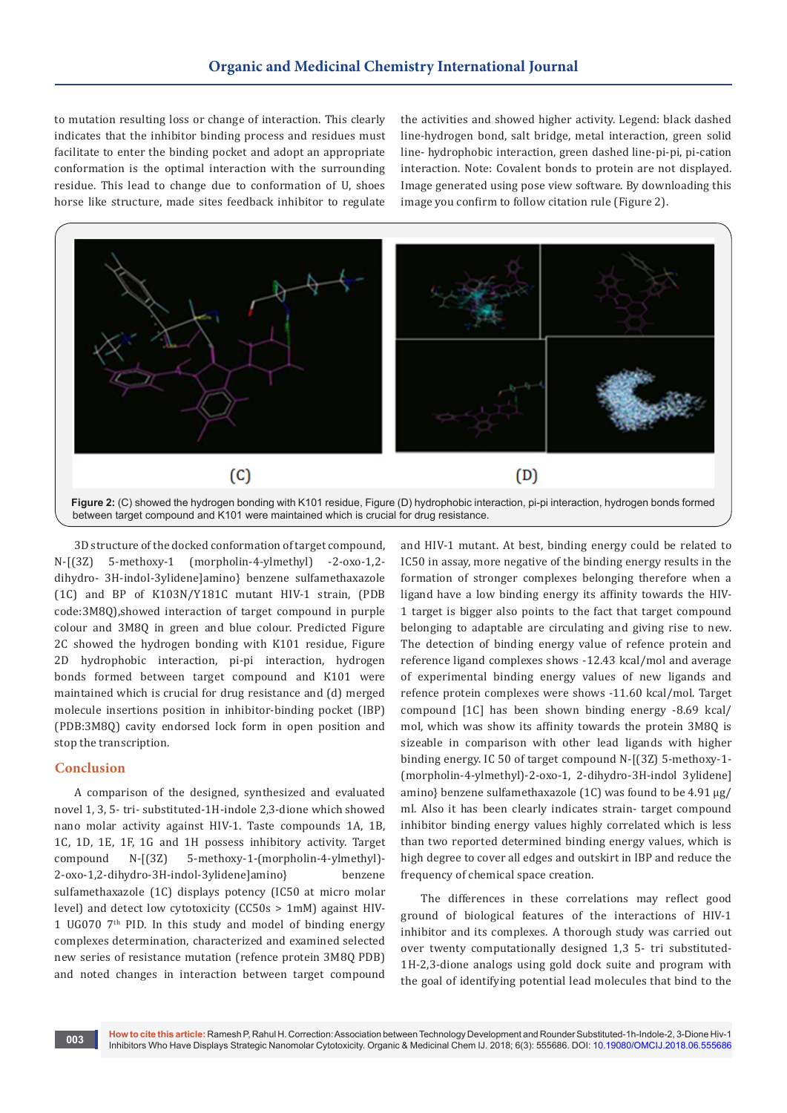to mutation resulting loss or change of interaction. This clearly indicates that the inhibitor binding process and residues must facilitate to enter the binding pocket and adopt an appropriate conformation is the optimal interaction with the surrounding residue. This lead to change due to conformation of U, shoes horse like structure, made sites feedback inhibitor to regulate

the activities and showed higher activity. Legend: black dashed line-hydrogen bond, salt bridge, metal interaction, green solid line- hydrophobic interaction, green dashed line-pi-pi, pi-cation interaction. Note: Covalent bonds to protein are not displayed. Image generated using pose view software. By downloading this image you confirm to follow citation rule (Figure 2).



3D structure of the docked conformation of target compound, N-[(3Z) 5-methoxy-1 (morpholin-4-ylmethyl) -2-oxo-1,2 dihydro- 3H-indol-3ylidene]amino} benzene sulfamethaxazole (1C) and BP of K103N/Y181C mutant HIV-1 strain, (PDB code:3M8Q),showed interaction of target compound in purple colour and 3M8Q in green and blue colour. Predicted Figure 2C showed the hydrogen bonding with K101 residue, Figure 2D hydrophobic interaction, pi-pi interaction, hydrogen bonds formed between target compound and K101 were maintained which is crucial for drug resistance and (d) merged molecule insertions position in inhibitor-binding pocket (IBP) (PDB:3M8Q) cavity endorsed lock form in open position and stop the transcription.

## **Conclusion**

A comparison of the designed, synthesized and evaluated novel 1, 3, 5- tri- substituted-1H-indole 2,3-dione which showed nano molar activity against HIV-1. Taste compounds 1A, 1B, 1C, 1D, 1E, 1F, 1G and 1H possess inhibitory activity. Target compound N-[(3Z) 5-methoxy-1-(morpholin-4-ylmethyl)- 2-oxo-1,2-dihydro-3H-indol-3ylidene]amino} benzene sulfamethaxazole (1C) displays potency (IC50 at micro molar level) and detect low cytotoxicity (CC50s > 1mM) against HIV-1 UG070 7<sup>th</sup> PID. In this study and model of binding energy complexes determination, characterized and examined selected new series of resistance mutation (refence protein 3M8Q PDB) and noted changes in interaction between target compound

and HIV-1 mutant. At best, binding energy could be related to IC50 in assay, more negative of the binding energy results in the formation of stronger complexes belonging therefore when a ligand have a low binding energy its affinity towards the HIV-1 target is bigger also points to the fact that target compound belonging to adaptable are circulating and giving rise to new. The detection of binding energy value of refence protein and reference ligand complexes shows -12.43 kcal/mol and average of experimental binding energy values of new ligands and refence protein complexes were shows -11.60 kcal/mol. Target compound [1C] has been shown binding energy -8.69 kcal/ mol, which was show its affinity towards the protein 3M8Q is sizeable in comparison with other lead ligands with higher binding energy. IC 50 of target compound N-[(3Z) 5-methoxy-1- (morpholin-4-ylmethyl)-2-oxo-1, 2-dihydro-3H-indol 3ylidene] amino} benzene sulfamethaxazole (1C) was found to be 4.91 μg/ ml. Also it has been clearly indicates strain- target compound inhibitor binding energy values highly correlated which is less than two reported determined binding energy values, which is high degree to cover all edges and outskirt in IBP and reduce the frequency of chemical space creation.

The differences in these correlations may reflect good ground of biological features of the interactions of HIV-1 inhibitor and its complexes. A thorough study was carried out over twenty computationally designed 1,3 5- tri substituted-1H-2,3-dione analogs using gold dock suite and program with the goal of identifying potential lead molecules that bind to the